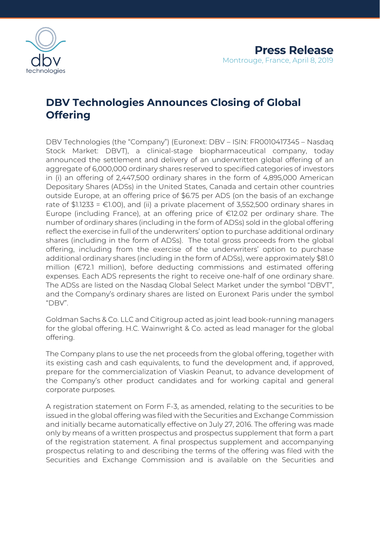

# **DBV Technologies Announces Closing of Global Offering**

DBV Technologies (the "Company") (Euronext: DBV – ISIN: FR0010417345 – Nasdaq Stock Market: DBVT), a clinical-stage biopharmaceutical company, today announced the settlement and delivery of an underwritten global offering of an aggregate of 6,000,000 ordinary shares reserved to specified categories of investors in (i) an offering of 2,447,500 ordinary shares in the form of 4,895,000 American Depositary Shares (ADSs) in the United States, Canada and certain other countries outside Europe, at an offering price of \$6.75 per ADS (on the basis of an exchange rate of \$1.1233 =  $\epsilon$ 1.00), and (ii) a private placement of 3,552,500 ordinary shares in Europe (including France), at an offering price of €12.02 per ordinary share. The number of ordinary shares (including in the form of ADSs) sold in the global offering reflect the exercise in full of the underwriters' option to purchase additional ordinary shares (including in the form of ADSs). The total gross proceeds from the global offering, including from the exercise of the underwriters' option to purchase additional ordinary shares (including in the form of ADSs), were approximately \$81.0 million (€72.1 million), before deducting commissions and estimated offering expenses. Each ADS represents the right to receive one-half of one ordinary share. The ADSs are listed on the Nasdaq Global Select Market under the symbol "DBVT", and the Company's ordinary shares are listed on Euronext Paris under the symbol "DBV".

Goldman Sachs & Co. LLC and Citigroup acted as joint lead book-running managers for the global offering. H.C. Wainwright & Co. acted as lead manager for the global offering.

The Company plans to use the net proceeds from the global offering, together with its existing cash and cash equivalents, to fund the development and, if approved, prepare for the commercialization of Viaskin Peanut, to advance development of the Company's other product candidates and for working capital and general corporate purposes.

A registration statement on Form F-3, as amended, relating to the securities to be issued in the global offering was filed with the Securities and Exchange Commission and initially became automatically effective on July 27, 2016. The offering was made only by means of a written prospectus and prospectus supplement that form a part of the registration statement. A final prospectus supplement and accompanying prospectus relating to and describing the terms of the offering was filed with the Securities and Exchange Commission and is available on the Securities and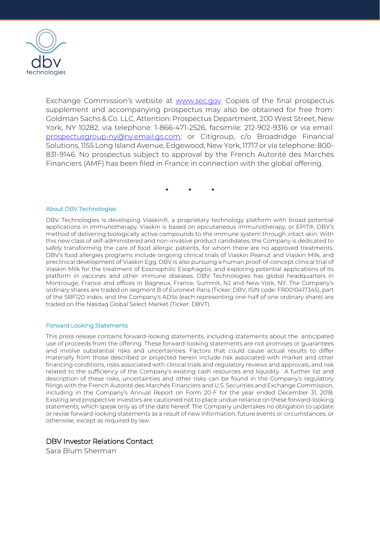

Exchange Commission's website at [www.sec.gov.](http://www.sec.gov/) Copies of the final prospectus supplement and accompanying prospectus may also be obtained for free from: Goldman Sachs & Co. LLC, Attention: Prospectus Department, 200 West Street, New York, NY 10282, via telephone: 1-866-471-2526, facsimile: 212-902-9316 or via email: [prospectusgroup-ny@ny.email.gs.com;](mailto:prospectusgroup-ny@ny.email.gs.com) or Citigroup, c/o Broadridge Financial Solutions, 1155 Long Island Avenue, Edgewood, New York, 11717 or via telephone: 800- 831-9146. No prospectus subject to approval by the French Autorité des Marchés Financiers (AMF) has been filed in France in connection with the global offering.

\* \* \*

#### About DBV Technologies

DBV Technologies is developing Viaskin®, a proprietary technology platform with broad potential applications in immunotherapy. Viaskin is based on epicutaneous immunotherapy, or EPIT®, DBV's method of delivering biologically active compounds to the immune system through intact skin. With this new class of self-administered and non-invasive product candidates, the Company is dedicated to safely transforming the care of food allergic patients, for whom there are no approved treatments. DBV's food allergies programs include ongoing clinical trials of Viaskin Peanut and Viaskin Milk, and preclinical development of Viaskin Egg. DBV is also pursuing a human proof-of-concept clinical trial of Viaskin Milk for the treatment of Eosinophilic Esophagitis, and exploring potential applications of its platform in vaccines and other immune diseases. DBV Technologies has global headquarters in Montrouge, France and offices in Bagneux, France, Summit, NJ and New York, NY. The Company's ordinary shares are traded on segment B of Euronext Paris (Ticker: DBV, ISIN code: FR0010417345), part of the SBF120 index, and the Company's ADSs (each representing one-half of one ordinary share) are traded on the Nasdaq Global Select Market (Ticker: DBVT).

#### Forward Looking Statements

This press release contains forward-looking statements, including statements about the anticipated use of proceeds from the offering. These forward-looking statements are not promises or guarantees and involve substantial risks and uncertainties. Factors that could cause actual results to differ materially from those described or projected herein include risk associated with market and other financing conditions, risks associated with clinical trials and regulatory reviews and approvals, and risk related to the sufficiency of the Company's existing cash resources and liquidity. A further list and description of these risks, uncertainties and other risks can be found in the Company's regulatory filings with the French Autorité des Marchés Financiers and U.S. Securities and Exchange Commission, including in the Company's Annual Report on Form 20-F for the year ended December 31, 2018. Existing and prospective investors are cautioned not to place undue reliance on these forward-looking statements, which speak only as of the date hereof. The Company undertakes no obligation to update or revise forward-looking statements as a result of new information, future events or circumstances, or otherwise, except as required by law.

## DBV Investor Relations Contact

Sara Blum Sherman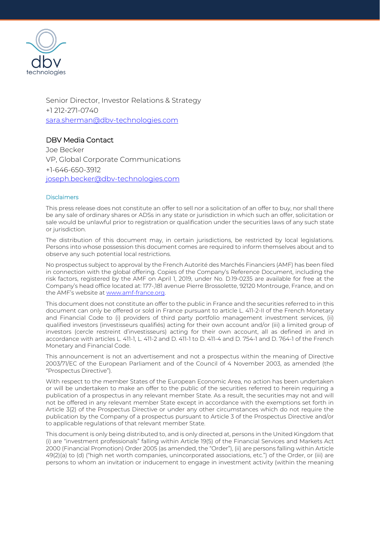

Senior Director, Investor Relations & Strategy +1 212-271-0740 [sara.sherman@dbv-technologies.com](mailto:sara.sherman@dbv-technologies.com)

# DBV Media Contact

Joe Becker VP, Global Corporate Communications +1-646-650-3912 joseph.becker@dbv-technologies.com

### **Disclaimers**

This press release does not constitute an offer to sell nor a solicitation of an offer to buy, nor shall there be any sale of ordinary shares or ADSs in any state or jurisdiction in which such an offer, solicitation or sale would be unlawful prior to registration or qualification under the securities laws of any such state or jurisdiction.

The distribution of this document may, in certain jurisdictions, be restricted by local legislations. Persons into whose possession this document comes are required to inform themselves about and to observe any such potential local restrictions.

No prospectus subject to approval by the French Autorité des Marchés Financiers (AMF) has been filed in connection with the global offering. Copies of the Company's Reference Document, including the risk factors, registered by the AMF on April 1, 2019, under No. D.19-0235 are available for free at the Company's head office located at: 177-,181 avenue Pierre Brossolette, 92120 Montrouge, France, and on the AMF's website a[t www.amf-france.org.](http://www.amf-france.org/) 

This document does not constitute an offer to the public in France and the securities referred to in this document can only be offered or sold in France pursuant to article L. 411-2-II of the French Monetary and Financial Code to (i) providers of third party portfolio management investment services, (ii) qualified investors (investisseurs qualifiés) acting for their own account and/or (iii) a limited group of investors (cercle restreint d'investisseurs) acting for their own account, all as defined in and in accordance with articles L. 411-1, L. 411-2 and D. 411-1 to D. 411-4 and D. 754-1 and D. 764-1 of the French Monetary and Financial Code.

This announcement is not an advertisement and not a prospectus within the meaning of Directive 2003/71/EC of the European Parliament and of the Council of 4 November 2003, as amended (the "Prospectus Directive").

With respect to the member States of the European Economic Area, no action has been undertaken or will be undertaken to make an offer to the public of the securities referred to herein requiring a publication of a prospectus in any relevant member State. As a result, the securities may not and will not be offered in any relevant member State except in accordance with the exemptions set forth in Article 3(2) of the Prospectus Directive or under any other circumstances which do not require the publication by the Company of a prospectus pursuant to Article 3 of the Prospectus Directive and/or to applicable regulations of that relevant member State.

This document is only being distributed to, and is only directed at, persons in the United Kingdom that (i) are "investment professionals" falling within Article 19(5) of the Financial Services and Markets Act 2000 (Financial Promotion) Order 2005 (as amended, the "Order"), (ii) are persons falling within Article 49(2)(a) to (d) ("high net worth companies, unincorporated associations, etc.") of the Order, or (iii) are persons to whom an invitation or inducement to engage in investment activity (within the meaning